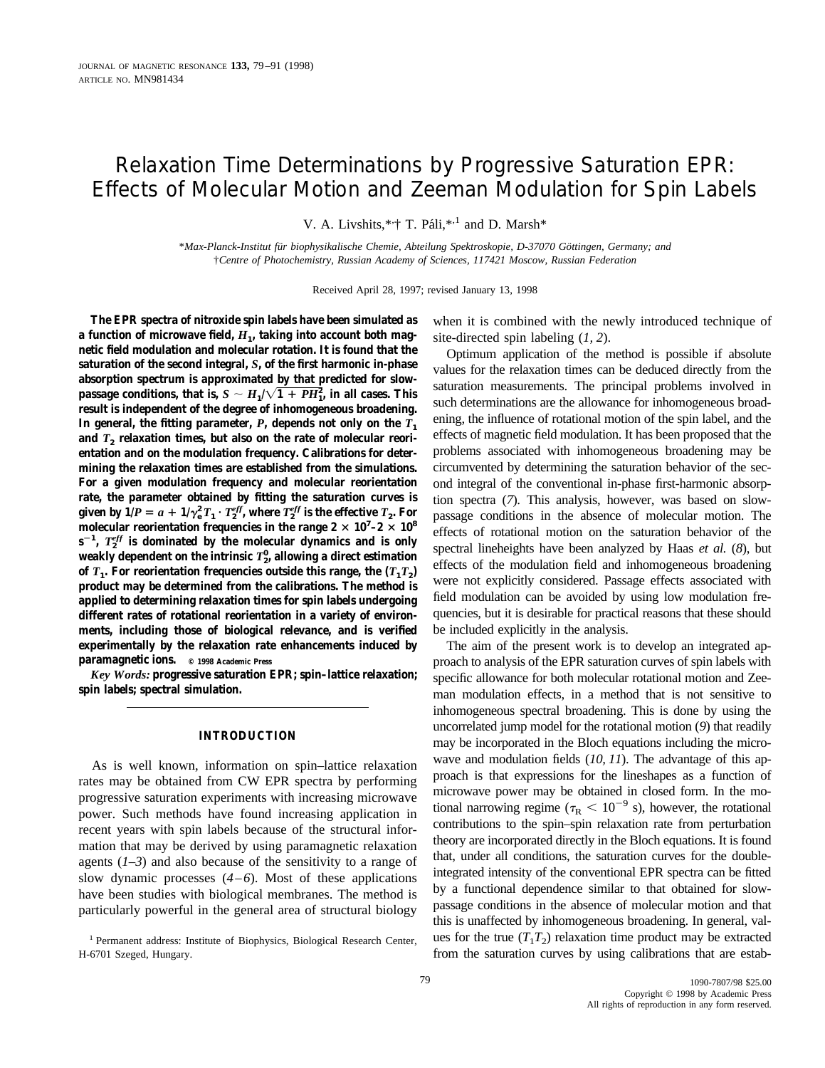# Relaxation Time Determinations by Progressive Saturation EPR: Effects of Molecular Motion and Zeeman Modulation for Spin Labels

V. A. Livshits,\*<sup>\*</sup>;† T. Páli,\*<sup>,1</sup> and D. Marsh\*

\**Max-Planck-Institut für biophysikalische Chemie, Abteilung Spektroskopie, D-37070 Göttingen, Germany; and* †*Centre of Photochemistry, Russian Academy of Sciences, 117421 Moscow, Russian Federation*

Received April 28, 1997; revised January 13, 1998

**The EPR spectra of nitroxide spin labels have been simulated as a function of microwave field,** *H***1, taking into account both magnetic field modulation and molecular rotation. It is found that the saturation of the second integral,** *S***, of the first harmonic in-phase absorption spectrum is approximated by that predicted for slow**passage conditions, that is,  $S \sim H_{1}/\sqrt{1+PH_{1}^{2}}$ , in all cases. This **result is independent of the degree of inhomogeneous broadening.** In general, the fitting parameter,  $P$ , depends not only on the  $T_1$ and  $T<sub>2</sub>$  relaxation times, but also on the rate of molecular reori**entation and on the modulation frequency. Calibrations for determining the relaxation times are established from the simulations. For a given modulation frequency and molecular reorientation rate, the parameter obtained by fitting the saturation curves is given by**  $1/P = a + 1/\gamma_e^2 T_1 \cdot T_2^{eff}$ , where  $T_2^{eff}$  is the effective  $T_2$ . For molecular reorientation frequencies in the range  $2 \times 10^7 - 2 \times 10^8$  $s^{-1}$ ,  $T_2^{eff}$  is dominated by the molecular dynamics and is only **weakly dependent on the intrinsic** *T***<sup>2</sup> 0 , allowing a direct estimation** of  $T_1$ . For reorientation frequencies outside this range, the  $(T_1 T_2)$ **product may be determined from the calibrations. The method is applied to determining relaxation times for spin labels undergoing different rates of rotational reorientation in a variety of environments, including those of biological relevance, and is verified experimentally by the relaxation rate enhancements induced by paramagnetic ions. © 1998 Academic Press**

*Key Words:* **progressive saturation EPR; spin–lattice relaxation; spin labels; spectral simulation.**

## **INTRODUCTION**

As is well known, information on spin–lattice relaxation rates may be obtained from CW EPR spectra by performing progressive saturation experiments with increasing microwave power. Such methods have found increasing application in recent years with spin labels because of the structural information that may be derived by using paramagnetic relaxation agents (*1–3*) and also because of the sensitivity to a range of slow dynamic processes (*4–6*). Most of these applications have been studies with biological membranes. The method is particularly powerful in the general area of structural biology when it is combined with the newly introduced technique of site-directed spin labeling (*1, 2*).

Optimum application of the method is possible if absolute values for the relaxation times can be deduced directly from the saturation measurements. The principal problems involved in such determinations are the allowance for inhomogeneous broadening, the influence of rotational motion of the spin label, and the effects of magnetic field modulation. It has been proposed that the problems associated with inhomogeneous broadening may be circumvented by determining the saturation behavior of the second integral of the conventional in-phase first-harmonic absorption spectra (*7*). This analysis, however, was based on slowpassage conditions in the absence of molecular motion. The effects of rotational motion on the saturation behavior of the spectral lineheights have been analyzed by Haas *et al.* (*8*), but effects of the modulation field and inhomogeneous broadening were not explicitly considered. Passage effects associated with field modulation can be avoided by using low modulation frequencies, but it is desirable for practical reasons that these should be included explicitly in the analysis.

The aim of the present work is to develop an integrated approach to analysis of the EPR saturation curves of spin labels with specific allowance for both molecular rotational motion and Zeeman modulation effects, in a method that is not sensitive to inhomogeneous spectral broadening. This is done by using the uncorrelated jump model for the rotational motion (*9*) that readily may be incorporated in the Bloch equations including the microwave and modulation fields (*10, 11*). The advantage of this approach is that expressions for the lineshapes as a function of microwave power may be obtained in closed form. In the motional narrowing regime ( $\tau_R < 10^{-9}$  s), however, the rotational contributions to the spin–spin relaxation rate from perturbation theory are incorporated directly in the Bloch equations. It is found that, under all conditions, the saturation curves for the doubleintegrated intensity of the conventional EPR spectra can be fitted by a functional dependence similar to that obtained for slowpassage conditions in the absence of molecular motion and that this is unaffected by inhomogeneous broadening. In general, values for the true  $(T_1T_2)$  relaxation time product may be extracted from the saturation curves by using calibrations that are estab-

<sup>1</sup> Permanent address: Institute of Biophysics, Biological Research Center, H-6701 Szeged, Hungary.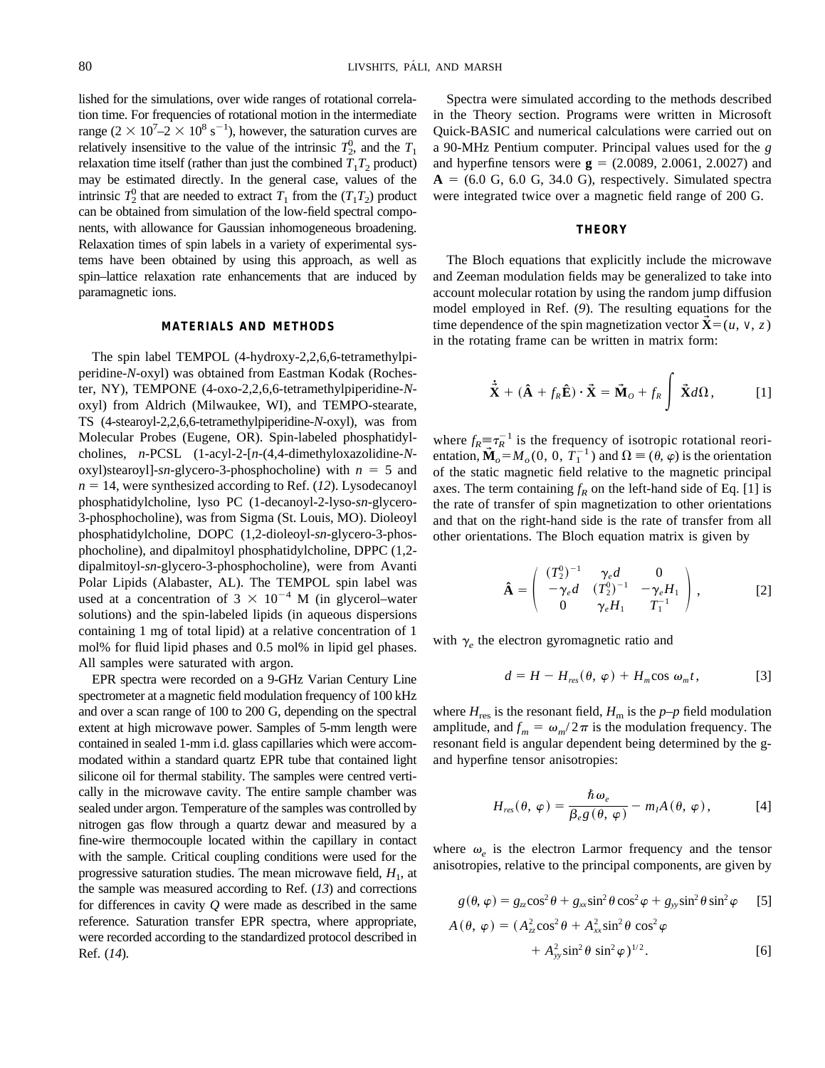lished for the simulations, over wide ranges of rotational correlation time. For frequencies of rotational motion in the intermediate range  $(2 \times 10^7 - 2 \times 10^8 \text{ s}^{-1})$ , however, the saturation curves are relatively insensitive to the value of the intrinsic  $T_2^0$ , and the  $T_1$ relaxation time itself (rather than just the combined  $T_1T_2$  product) may be estimated directly. In the general case, values of the intrinsic  $T_2^0$  that are needed to extract  $T_1$  from the  $(T_1T_2)$  product can be obtained from simulation of the low-field spectral components, with allowance for Gaussian inhomogeneous broadening. Relaxation times of spin labels in a variety of experimental systems have been obtained by using this approach, as well as spin–lattice relaxation rate enhancements that are induced by paramagnetic ions.

## **MATERIALS AND METHODS**

The spin label TEMPOL (4-hydroxy-2,2,6,6-tetramethylpiperidine-*N*-oxyl) was obtained from Eastman Kodak (Rochester, NY), TEMPONE (4-oxo-2,2,6,6-tetramethylpiperidine-*N*oxyl) from Aldrich (Milwaukee, WI), and TEMPO-stearate, TS (4-stearoyl-2,2,6,6-tetramethylpiperidine-*N*-oxyl), was from Molecular Probes (Eugene, OR). Spin-labeled phosphatidylcholines, *n*-PCSL (1-acyl-2-[*n*-(4,4-dimethyloxazolidine-*N*oxyl)stearoyl]- $sn$ -glycero-3-phosphocholine) with  $n = 5$  and  $n = 14$ , were synthesized according to Ref. (12). Lysodecanoyl phosphatidylcholine, lyso PC (1-decanoyl-2-lyso-*sn*-glycero-3-phosphocholine), was from Sigma (St. Louis, MO). Dioleoyl phosphatidylcholine, DOPC (1,2-dioleoyl-*sn*-glycero-3-phosphocholine), and dipalmitoyl phosphatidylcholine, DPPC (1,2 dipalmitoyl-*sn*-glycero-3-phosphocholine), were from Avanti Polar Lipids (Alabaster, AL). The TEMPOL spin label was used at a concentration of  $3 \times 10^{-4}$  M (in glycerol–water solutions) and the spin-labeled lipids (in aqueous dispersions containing 1 mg of total lipid) at a relative concentration of 1 mol% for fluid lipid phases and 0.5 mol% in lipid gel phases. All samples were saturated with argon.

EPR spectra were recorded on a 9-GHz Varian Century Line spectrometer at a magnetic field modulation frequency of 100 kHz and over a scan range of 100 to 200 G, depending on the spectral extent at high microwave power. Samples of 5-mm length were contained in sealed 1-mm i.d. glass capillaries which were accommodated within a standard quartz EPR tube that contained light silicone oil for thermal stability. The samples were centred vertically in the microwave cavity. The entire sample chamber was sealed under argon. Temperature of the samples was controlled by nitrogen gas flow through a quartz dewar and measured by a fine-wire thermocouple located within the capillary in contact with the sample. Critical coupling conditions were used for the progressive saturation studies. The mean microwave field,  $H_1$ , at the sample was measured according to Ref. (*13*) and corrections for differences in cavity *Q* were made as described in the same reference. Saturation transfer EPR spectra, where appropriate, were recorded according to the standardized protocol described in Ref. (*14*).

Spectra were simulated according to the methods described in the Theory section. Programs were written in Microsoft Quick-BASIC and numerical calculations were carried out on a 90-MHz Pentium computer. Principal values used for the *g* and hyperfine tensors were  $g = (2.0089, 2.0061, 2.0027)$  and  $A = (6.0 \text{ G}, 6.0 \text{ G}, 34.0 \text{ G})$ , respectively. Simulated spectra were integrated twice over a magnetic field range of 200 G.

#### **THEORY**

The Bloch equations that explicitly include the microwave and Zeeman modulation fields may be generalized to take into account molecular rotation by using the random jump diffusion model employed in Ref. (*9*). The resulting equations for the time dependence of the spin magnetization vector  $\dot{\mathbf{X}} = (u, v, z)$ in the rotating frame can be written in matrix form:

$$
\dot{\tilde{\mathbf{X}}} + (\hat{\mathbf{A}} + f_R \hat{\mathbf{E}}) \cdot \tilde{\mathbf{X}} = \tilde{\mathbf{M}}_o + f_R \int \tilde{\mathbf{X}} d\Omega, \quad [1]
$$

where  $f_R \equiv \tau_R^{-1}$  is the frequency of isotropic rotational reorientation,  $\mathbf{M}_o = M_o(0, 0, T_1^{-1})$  and  $\Omega = (\theta, \varphi)$  is the orientation of the static magnetic field relative to the magnetic principal axes. The term containing  $f_R$  on the left-hand side of Eq. [1] is the rate of transfer of spin magnetization to other orientations and that on the right-hand side is the rate of transfer from all other orientations. The Bloch equation matrix is given by

$$
\hat{\mathbf{A}} = \begin{pmatrix} (T_2^0)^{-1} & \gamma_e d & 0 \\ -\gamma_e d & (T_2^0)^{-1} & -\gamma_e H_1 \\ 0 & \gamma_e H_1 & T_1^{-1} \end{pmatrix},
$$
 [2]

with  $\gamma_e$  the electron gyromagnetic ratio and

$$
d = H - H_{res}(\theta, \varphi) + H_{m} \cos \omega_{m} t, \qquad [3]
$$

where  $H_{res}$  is the resonant field,  $H_m$  is the  $p-p$  field modulation amplitude, and  $f_m = \omega_m / 2\pi$  is the modulation frequency. The resonant field is angular dependent being determined by the gand hyperfine tensor anisotropies:

$$
H_{res}(\theta,\,\varphi)=\frac{\hbar\,\omega_e}{\beta_e g\,(\theta,\,\varphi)}-m_I A\,(\theta,\,\varphi),\qquad\qquad [4]
$$

where  $\omega_e$  is the electron Larmor frequency and the tensor anisotropies, relative to the principal components, are given by

$$
g(\theta, \varphi) = g_{zz} \cos^2 \theta + g_{xx} \sin^2 \theta \cos^2 \varphi + g_{yy} \sin^2 \theta \sin^2 \varphi
$$
 [5]

$$
A(\theta, \varphi) = (A_{zz}^2 \cos^2 \theta + A_{xx}^2 \sin^2 \theta \cos^2 \varphi + A_{yy}^2 \sin^2 \theta \sin^2 \varphi)^{1/2}.
$$
 [6]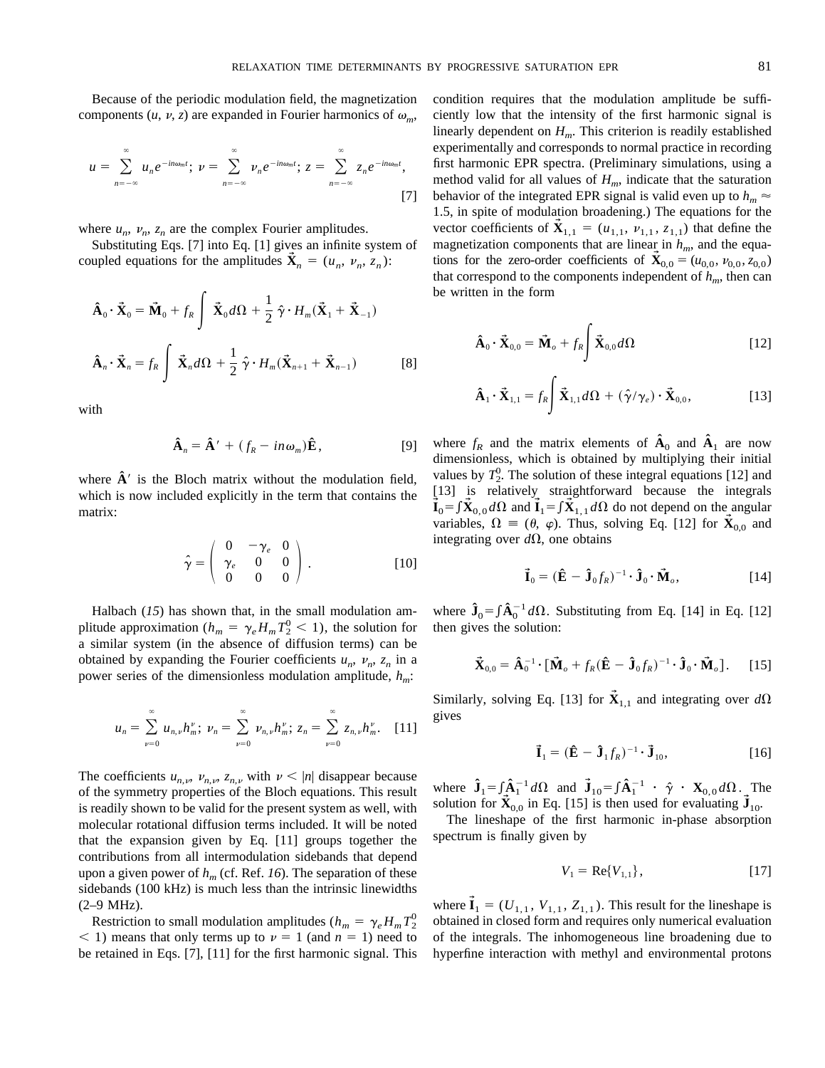Because of the periodic modulation field, the magnetization components  $(u, v, z)$  are expanded in Fourier harmonics of  $\omega_m$ ,

$$
u = \sum_{n=-\infty}^{\infty} u_n e^{-in\omega_m t}; \ \nu = \sum_{n=-\infty}^{\infty} \nu_n e^{-in\omega_m t}; \ z = \sum_{n=-\infty}^{\infty} z_n e^{-in\omega_m t}, \tag{7}
$$

where  $u_n$ ,  $v_n$ ,  $z_n$  are the complex Fourier amplitudes.

Substituting Eqs. [7] into Eq. [1] gives an infinite system of coupled equations for the amplitudes  $\tilde{\mathbf{X}}_n = (u_n, v_n, z_n)$ :

$$
\hat{\mathbf{A}}_0 \cdot \vec{\mathbf{X}}_0 = \vec{\mathbf{M}}_0 + f_R \int \vec{\mathbf{X}}_0 d\Omega + \frac{1}{2} \hat{\gamma} \cdot H_m(\vec{\mathbf{X}}_1 + \vec{\mathbf{X}}_{-1})
$$
\n
$$
\hat{\mathbf{A}}_n \cdot \vec{\mathbf{X}}_n = f_R \int \vec{\mathbf{X}}_n d\Omega + \frac{1}{2} \hat{\gamma} \cdot H_m(\vec{\mathbf{X}}_{n+1} + \vec{\mathbf{X}}_{n-1})
$$
\n[8]

with

$$
\hat{\mathbf{A}}_n = \hat{\mathbf{A}}' + (f_R - in\omega_m)\hat{\mathbf{E}},
$$
 [9]

where  $\hat{A}$ <sup>'</sup> is the Bloch matrix without the modulation field, which is now included explicitly in the term that contains the matrix:

$$
\hat{\gamma} = \left(\begin{array}{ccc} 0 & -\gamma_e & 0 \\ \gamma_e & 0 & 0 \\ 0 & 0 & 0 \end{array}\right). \tag{10}
$$

Halbach (*15*) has shown that, in the small modulation amplitude approximation ( $h_m = \gamma_e H_m T_2^0 < 1$ ), the solution for a similar system (in the absence of diffusion terms) can be obtained by expanding the Fourier coefficients  $u_n$ ,  $v_n$ ,  $z_n$  in a power series of the dimensionless modulation amplitude, *hm*:

$$
u_n = \sum_{\nu=0}^{\infty} u_{n,\nu} h_m^{\nu}; \ \nu_n = \sum_{\nu=0}^{\infty} \nu_{n,\nu} h_m^{\nu}; \ z_n = \sum_{\nu=0}^{\infty} z_{n,\nu} h_m^{\nu}. \quad [11]
$$

The coefficients  $u_{n,\nu}$ ,  $v_{n,\nu}$ ,  $z_{n,\nu}$  with  $\nu < |n|$  disappear because of the symmetry properties of the Bloch equations. This result is readily shown to be valid for the present system as well, with molecular rotational diffusion terms included. It will be noted that the expansion given by Eq. [11] groups together the contributions from all intermodulation sidebands that depend upon a given power of  $h_m$  (cf. Ref. 16). The separation of these sidebands (100 kHz) is much less than the intrinsic linewidths (2–9 MHz).

Restriction to small modulation amplitudes ( $h_m = \gamma_e H_m T_2^0$  $(1)$  means that only terms up to  $\nu = 1$  (and  $n = 1$ ) need to be retained in Eqs. [7], [11] for the first harmonic signal. This

condition requires that the modulation amplitude be sufficiently low that the intensity of the first harmonic signal is linearly dependent on  $H_m$ . This criterion is readily established experimentally and corresponds to normal practice in recording first harmonic EPR spectra. (Preliminary simulations, using a method valid for all values of  $H_m$ , indicate that the saturation behavior of the integrated EPR signal is valid even up to  $h_m \approx$ 1.5, in spite of modulation broadening.) The equations for the vector coefficients of  ${\bf X}_{1,1} = (u_{1,1}, v_{1,1}, z_{1,1})$  that define the magnetization components that are linear in  $h_m$ , and the equations for the zero-order coefficients of  $\mathbf{X}_{0,0} = (u_{0,0}, v_{0,0}, z_{0,0})$ that correspond to the components independent of  $h_m$ , then can be written in the form

$$
\hat{\mathbf{A}}_0 \cdot \vec{\mathbf{X}}_{0,0} = \vec{\mathbf{M}}_o + f_R \int \vec{\mathbf{X}}_{0,0} d\Omega
$$
 [12]

$$
\hat{\mathbf{A}}_1 \cdot \vec{\mathbf{X}}_{1,1} = f_R \int \vec{\mathbf{X}}_{1,1} d\Omega + (\hat{\gamma}/\gamma_e) \cdot \vec{\mathbf{X}}_{0,0},
$$
 [13]

where  $f_R$  and the matrix elements of  $\mathbf{A}_0$  and  $\mathbf{A}_1$  are now dimensionless, which is obtained by multiplying their initial values by  $T_2^0$ . The solution of these integral equations [12] and [13] is relatively straightforward because the integrals  $\vec{I}_0 = \int \vec{X}_{0,0} d\Omega$  and  $\vec{I}_1 = \int \vec{X}_{1,1} d\Omega$  do not depend on the angular variables,  $\Omega = (\theta, \varphi)$ . Thus, solving Eq. [12] for  $\mathbf{X}_{0,0}$  and integrating over  $d\Omega$ , one obtains

$$
\vec{\mathbf{I}}_0 = (\hat{\mathbf{E}} - \hat{\mathbf{J}}_0 f_R)^{-1} \cdot \hat{\mathbf{J}}_0 \cdot \vec{\mathbf{M}}_o, \qquad [14]
$$

where  $\hat{\mathbf{J}}_0 = \int \hat{\mathbf{A}}_0^{-1} d\Omega$ . Substituting from Eq. [14] in Eq. [12] then gives the solution:

$$
\vec{\mathbf{X}}_{0,0} = \hat{\mathbf{A}}_0^{-1} \cdot [\vec{\mathbf{M}}_o + f_R(\hat{\mathbf{E}} - \hat{\mathbf{J}}_0 f_R)^{-1} \cdot \hat{\mathbf{J}}_0 \cdot \vec{\mathbf{M}}_o].
$$
 [15]

Similarly, solving Eq. [13] for  $\vec{\mathbf{X}}_{1,1}$  and integrating over  $d\Omega$ gives

$$
\vec{\mathbf{I}}_1 = (\hat{\mathbf{E}} - \hat{\mathbf{J}}_1 f_R)^{-1} \cdot \vec{\mathbf{J}}_{10},
$$
 [16]

where  $\hat{\mathbf{J}}_1 = \int_{\mathbf{A}} \hat{\mathbf{A}}_1^{-1} d\Omega$  and  $\hat{\mathbf{J}}_{10} = \int_{\mathbf{A}} \hat{\mathbf{A}}_1^{-1} \cdot \hat{\gamma} \cdot \mathbf{X}_{0,0} d\Omega$ . The solution for  $\mathbf{\vec{X}}_{0,0}$  in Eq. [15] is then used for evaluating  $\mathbf{\vec{J}}_{10}$ .

The lineshape of the first harmonic in-phase absorption spectrum is finally given by

$$
V_1 = \text{Re}\{V_{1,1}\},\tag{17}
$$

where  $\mathbf{\vec{I}}_1 = (U_{1,1}, V_{1,1}, Z_{1,1})$ . This result for the lineshape is obtained in closed form and requires only numerical evaluation of the integrals. The inhomogeneous line broadening due to hyperfine interaction with methyl and environmental protons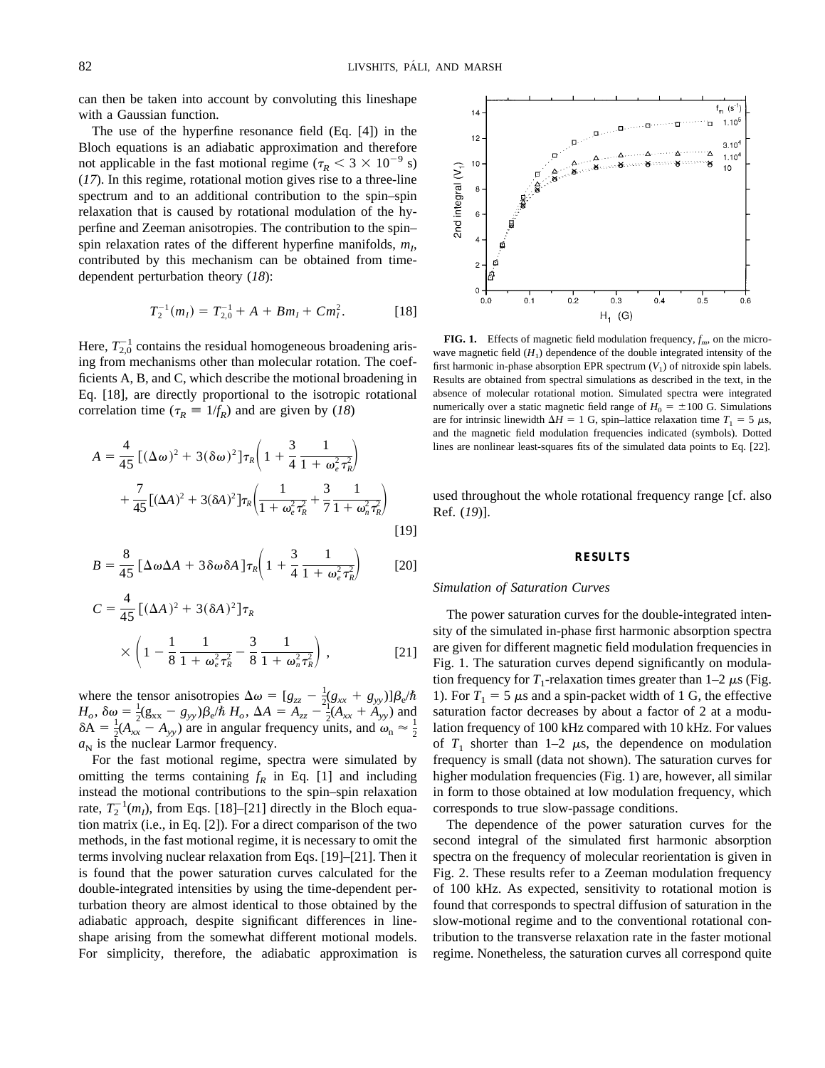can then be taken into account by convoluting this lineshape with a Gaussian function.

The use of the hyperfine resonance field (Eq. [4]) in the Bloch equations is an adiabatic approximation and therefore not applicable in the fast motional regime ( $\tau_R$  < 3  $\times$  10<sup>-9</sup> s) (*17*). In this regime, rotational motion gives rise to a three-line spectrum and to an additional contribution to the spin–spin relaxation that is caused by rotational modulation of the hyperfine and Zeeman anisotropies. The contribution to the spin– spin relaxation rates of the different hyperfine manifolds,  $m<sub>I</sub>$ , contributed by this mechanism can be obtained from timedependent perturbation theory (*18*):

$$
T_2^{-1}(m_I) = T_{2,0}^{-1} + A + Bm_I + Cm_I^2.
$$
 [18]

Here,  $T_{2,0}^{-1}$  contains the residual homogeneous broadening arising from mechanisms other than molecular rotation. The coefficients A, B, and C, which describe the motional broadening in Eq. [18], are directly proportional to the isotropic rotational correlation time ( $\tau_R \equiv 1/f_R$ ) and are given by (*18*)

$$
A = \frac{4}{45} \left[ (\Delta \omega)^2 + 3(\delta \omega)^2 \right] \tau_R \left( 1 + \frac{3}{4} \frac{1}{1 + \omega_e^2 \tau_R^2} \right) + \frac{7}{45} \left[ (\Delta A)^2 + 3(\delta A)^2 \right] \tau_R \left( \frac{1}{1 + \omega_e^2 \tau_R^2} + \frac{3}{7} \frac{1}{1 + \omega_n^2 \tau_R^2} \right)
$$
\n[19]

$$
B = \frac{8}{45} \left[ \Delta \omega \Delta A + 3 \delta \omega \delta A \right] \tau_R \left( 1 + \frac{3}{4} \frac{1}{1 + \omega_e^2 \tau_R^2} \right) \tag{20}
$$

$$
C = \frac{4}{45} \left[ (\Delta A)^2 + 3(\delta A)^2 \right] \tau_R
$$
  
 
$$
\times \left( 1 - \frac{1}{8} \frac{1}{1 + \omega_e^2 \tau_R^2} - \frac{3}{8} \frac{1}{1 + \omega_n^2 \tau_R^2} \right),
$$
 [21]

where the tensor anisotropies  $\Delta \omega = [g_{zz} - \frac{1}{2} (g_{xx} + g_{yy})] \beta_e/\hbar$  $H_o$ ,  $\delta \omega = \frac{1}{2} (g_{xx} - g_{yy}) \beta_e / \hbar H_o$ ,  $\Delta A = A_{zz} - \frac{21}{2} (A_{xx} + A_{yy})$  and  $\delta A = \frac{1}{2}(A_{xx} - A_{yy})$  are in angular frequency units, and  $\omega_n \approx \frac{1}{2}$  $a_N$  is the nuclear Larmor frequency.

For the fast motional regime, spectra were simulated by omitting the terms containing  $f_R$  in Eq. [1] and including instead the motional contributions to the spin–spin relaxation rate,  $T_2^{-1}(m_l)$ , from Eqs. [18]–[21] directly in the Bloch equation matrix (i.e., in Eq. [2]). For a direct comparison of the two methods, in the fast motional regime, it is necessary to omit the terms involving nuclear relaxation from Eqs. [19]–[21]. Then it is found that the power saturation curves calculated for the double-integrated intensities by using the time-dependent perturbation theory are almost identical to those obtained by the adiabatic approach, despite significant differences in lineshape arising from the somewhat different motional models. For simplicity, therefore, the adiabatic approximation is



**FIG. 1.** Effects of magnetic field modulation frequency,  $f_m$ , on the microwave magnetic field  $(H_1)$  dependence of the double integrated intensity of the first harmonic in-phase absorption EPR spectrum  $(V_1)$  of nitroxide spin labels. Results are obtained from spectral simulations as described in the text, in the absence of molecular rotational motion. Simulated spectra were integrated numerically over a static magnetic field range of  $H_0 = \pm 100$  G. Simulations are for intrinsic linewidth  $\Delta H = 1$  G, spin–lattice relaxation time  $T_1 = 5 \mu s$ , and the magnetic field modulation frequencies indicated (symbols). Dotted lines are nonlinear least-squares fits of the simulated data points to Eq. [22].

used throughout the whole rotational frequency range [cf. also Ref. (*19*)].

#### **RESULTS**

#### *Simulation of Saturation Curves*

The power saturation curves for the double-integrated intensity of the simulated in-phase first harmonic absorption spectra are given for different magnetic field modulation frequencies in Fig. 1. The saturation curves depend significantly on modulation frequency for  $T_1$ -relaxation times greater than  $1-2 \mu s$  (Fig. 1). For  $T_1 = 5 \mu s$  and a spin-packet width of 1 G, the effective saturation factor decreases by about a factor of 2 at a modulation frequency of 100 kHz compared with 10 kHz. For values of  $T_1$  shorter than 1–2  $\mu$ s, the dependence on modulation frequency is small (data not shown). The saturation curves for higher modulation frequencies (Fig. 1) are, however, all similar in form to those obtained at low modulation frequency, which corresponds to true slow-passage conditions.

The dependence of the power saturation curves for the second integral of the simulated first harmonic absorption spectra on the frequency of molecular reorientation is given in Fig. 2. These results refer to a Zeeman modulation frequency of 100 kHz. As expected, sensitivity to rotational motion is found that corresponds to spectral diffusion of saturation in the slow-motional regime and to the conventional rotational contribution to the transverse relaxation rate in the faster motional regime. Nonetheless, the saturation curves all correspond quite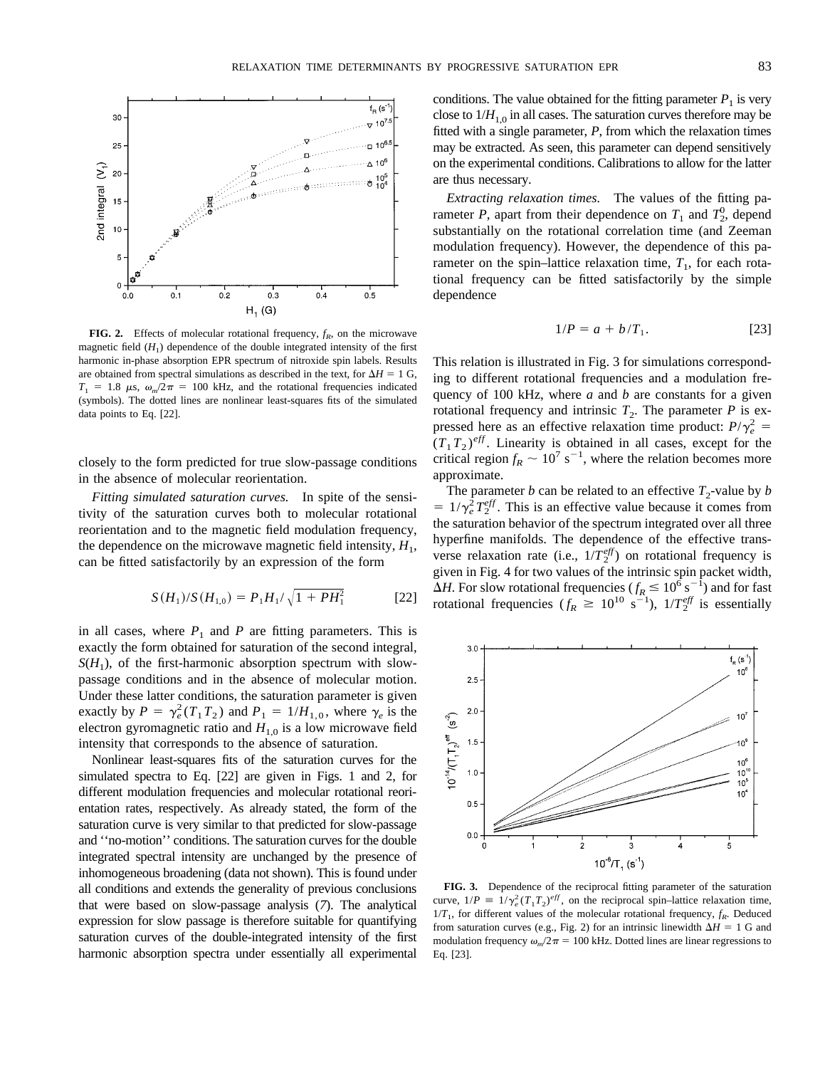

**FIG. 2.** Effects of molecular rotational frequency,  $f_R$ , on the microwave magnetic field  $(H_1)$  dependence of the double integrated intensity of the first harmonic in-phase absorption EPR spectrum of nitroxide spin labels. Results are obtained from spectral simulations as described in the text, for  $\Delta H = 1$  G,  $T_1 = 1.8 \mu s$ ,  $\omega_m/2\pi = 100 \text{ kHz}$ , and the rotational frequencies indicated (symbols). The dotted lines are nonlinear least-squares fits of the simulated data points to Eq. [22].

closely to the form predicted for true slow-passage conditions in the absence of molecular reorientation.

*Fitting simulated saturation curves.* In spite of the sensitivity of the saturation curves both to molecular rotational reorientation and to the magnetic field modulation frequency, the dependence on the microwave magnetic field intensity,  $H_1$ , can be fitted satisfactorily by an expression of the form

$$
S(H_1)/S(H_{1,0}) = P_1H_1/\sqrt{1 + PH_1^2}
$$
 [22]

in all cases, where  $P_1$  and  $P$  are fitting parameters. This is exactly the form obtained for saturation of the second integral,  $S(H_1)$ , of the first-harmonic absorption spectrum with slowpassage conditions and in the absence of molecular motion. Under these latter conditions, the saturation parameter is given exactly by  $P = \gamma_e^2 (T_1 T_2)$  and  $P_1 = 1/H_{1,0}$ , where  $\gamma_e$  is the electron gyromagnetic ratio and  $H_{1,0}$  is a low microwave field intensity that corresponds to the absence of saturation.

Nonlinear least-squares fits of the saturation curves for the simulated spectra to Eq. [22] are given in Figs. 1 and 2, for different modulation frequencies and molecular rotational reorientation rates, respectively. As already stated, the form of the saturation curve is very similar to that predicted for slow-passage and ''no-motion'' conditions. The saturation curves for the double integrated spectral intensity are unchanged by the presence of inhomogeneous broadening (data not shown). This is found under all conditions and extends the generality of previous conclusions that were based on slow-passage analysis (*7*). The analytical expression for slow passage is therefore suitable for quantifying saturation curves of the double-integrated intensity of the first harmonic absorption spectra under essentially all experimental

*Extracting relaxation times.* The values of the fitting parameter *P*, apart from their dependence on  $T_1$  and  $T_2^0$ , depend substantially on the rotational correlation time (and Zeeman modulation frequency). However, the dependence of this parameter on the spin–lattice relaxation time,  $T_1$ , for each rotational frequency can be fitted satisfactorily by the simple dependence

$$
1/P = a + b/T_1.
$$
 [23]

This relation is illustrated in Fig. 3 for simulations corresponding to different rotational frequencies and a modulation frequency of 100 kHz, where *a* and *b* are constants for a given rotational frequency and intrinsic  $T_2$ . The parameter *P* is expressed here as an effective relaxation time product:  $P/\gamma_e^2 =$  $(T_1 T_2)^{eff}$ . Linearity is obtained in all cases, except for the critical region  $f_R \sim 10^7 \text{ s}^{-1}$ , where the relation becomes more approximate.

The parameter *b* can be related to an effective  $T_2$ -value by *b*  $= 1/\gamma_e^2 T_2^{eff}$ . This is an effective value because it comes from the saturation behavior of the spectrum integrated over all three hyperfine manifolds. The dependence of the effective transverse relaxation rate (i.e.,  $1/T_2^{eff}$ ) on rotational frequency is given in Fig. 4 for two values of the intrinsic spin packet width,  $\Delta H$ . For slow rotational frequencies ( $f_R \leq 10^6$  s<sup>-1</sup>) and for fast rotational frequencies  $(f_R \ge 10^{10} \text{ s}^{-1})$ ,  $1/T_2^{eff}$  is essentially



**FIG. 3.** Dependence of the reciprocal fitting parameter of the saturation curve,  $1/P = 1/\gamma_e^2 (T_1 T_2)^{eff}$ , on the reciprocal spin–lattice relaxation time,  $1/T_1$ , for different values of the molecular rotational frequency,  $f_R$ . Deduced from saturation curves (e.g., Fig. 2) for an intrinsic linewidth  $\Delta H = 1$  G and modulation frequency  $\omega_m/2\pi = 100$  kHz. Dotted lines are linear regressions to Eq. [23].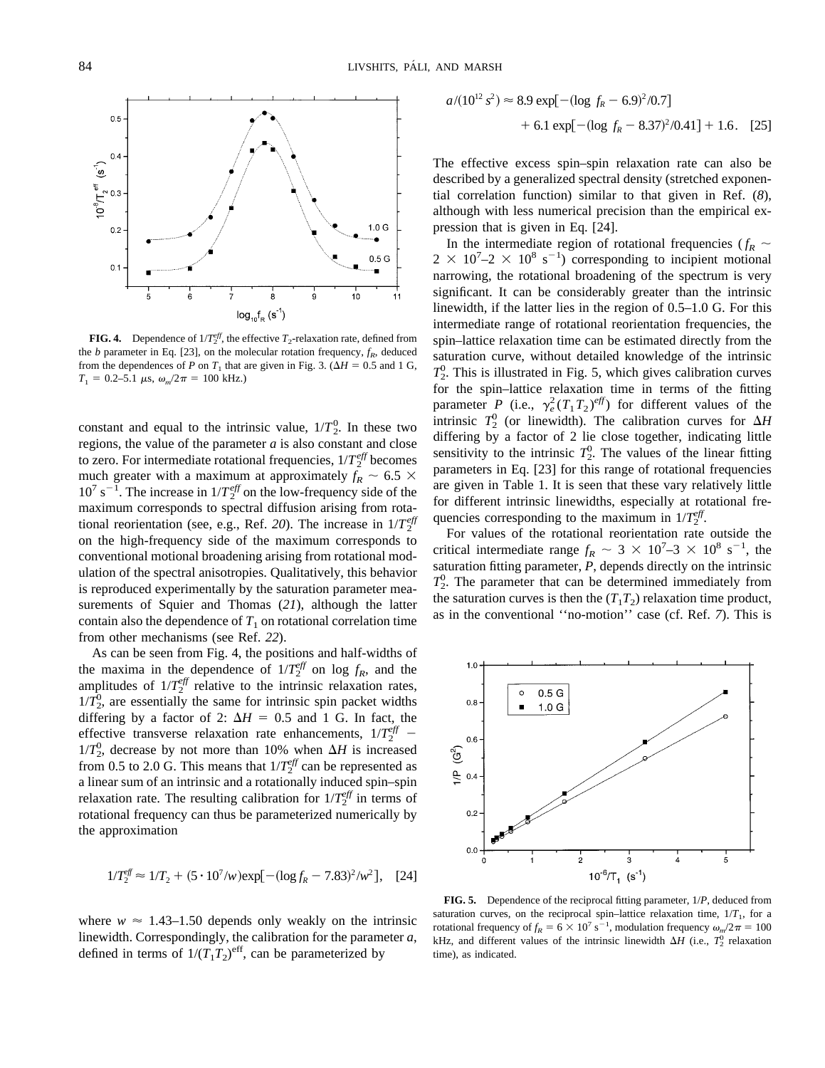

**FIG. 4.** Dependence of  $1/T_2^{eff}$ , the effective  $T_2$ -relaxation rate, defined from the *b* parameter in Eq. [23], on the molecular rotation frequency,  $f_R$ , deduced from the dependences of *P* on  $T_1$  that are given in Fig. 3. ( $\Delta H = 0.5$  and 1 G,  $T_1 = 0.2 - 5.1 \mu s$ ,  $\omega_m/2\pi = 100 \text{ kHz}$ .)

constant and equal to the intrinsic value,  $1/T_2^0$ . In these two regions, the value of the parameter *a* is also constant and close to zero. For intermediate rotational frequencies,  $1/T_2^{eff}$  becomes much greater with a maximum at approximately  $f_R \sim 6.5 \times$  $10^7$  s<sup>-1</sup>. The increase in  $1/T_2^{eff}$  on the low-frequency side of the maximum corresponds to spectral diffusion arising from rotational reorientation (see, e.g., Ref. 20). The increase in  $1/T_2^{eff}$ on the high-frequency side of the maximum corresponds to conventional motional broadening arising from rotational modulation of the spectral anisotropies. Qualitatively, this behavior is reproduced experimentally by the saturation parameter measurements of Squier and Thomas (*21*), although the latter contain also the dependence of  $T_1$  on rotational correlation time from other mechanisms (see Ref. *22*).

As can be seen from Fig. 4, the positions and half-widths of the maxima in the dependence of  $1/T_2^{eff}$  on log  $f_R$ , and the amplitudes of  $1/T_2^{\text{eff}}$  relative to the intrinsic relaxation rates,  $1/T<sub>2</sub><sup>0</sup>$ , are essentially the same for intrinsic spin packet widths differing by a factor of 2:  $\Delta H = 0.5$  and 1 G. In fact, the effective transverse relaxation rate enhancements,  $1/T_2^{eff}$  –  $1/T_2^0$ , decrease by not more than 10% when  $\Delta H$  is increased from 0.5 to 2.0 G. This means that  $1/T_2^{\text{eff}}$  can be represented as a linear sum of an intrinsic and a rotationally induced spin–spin relaxation rate. The resulting calibration for  $1/T_2^{eff}$  in terms of rotational frequency can thus be parameterized numerically by the approximation

$$
1/T_2^{\text{eff}} \approx 1/T_2 + (5 \cdot 10^7/w) \exp[-(\log f_R - 7.83)^2/w^2], \quad [24]
$$

where  $w \approx 1.43$ –1.50 depends only weakly on the intrinsic linewidth. Correspondingly, the calibration for the parameter *a*, defined in terms of  $1/(T_1T_2)^{\text{eff}}$ , can be parameterized by

$$
a/(10^{12} s^2) \approx 8.9 \exp[-(\log f_R - 6.9)^2 / 0.7]
$$
  
+ 6.1 \exp[-(\log f\_R - 8.37)^2 / 0.41] + 1.6. [25]

The effective excess spin–spin relaxation rate can also be described by a generalized spectral density (stretched exponential correlation function) similar to that given in Ref. (*8*), although with less numerical precision than the empirical expression that is given in Eq. [24].

In the intermediate region of rotational frequencies ( $f_R \sim$  $2 \times 10^7 - 2 \times 10^8$  s<sup>-1</sup>) corresponding to incipient motional narrowing, the rotational broadening of the spectrum is very significant. It can be considerably greater than the intrinsic linewidth, if the latter lies in the region of 0.5–1.0 G. For this intermediate range of rotational reorientation frequencies, the spin–lattice relaxation time can be estimated directly from the saturation curve, without detailed knowledge of the intrinsic  $T_2^0$ . This is illustrated in Fig. 5, which gives calibration curves for the spin–lattice relaxation time in terms of the fitting parameter *P* (i.e.,  $\gamma_e^2(T_1T_2)^{eff}$ ) for different values of the intrinsic  $T_2^0$  (or linewidth). The calibration curves for  $\Delta H$ differing by a factor of 2 lie close together, indicating little sensitivity to the intrinsic  $T_2^0$ . The values of the linear fitting parameters in Eq. [23] for this range of rotational frequencies are given in Table 1. It is seen that these vary relatively little for different intrinsic linewidths, especially at rotational frequencies corresponding to the maximum in  $1/T_2^{eff}$ .

For values of the rotational reorientation rate outside the critical intermediate range  $f_R \sim 3 \times 10^7 - 3 \times 10^8 \text{ s}^{-1}$ , the saturation fitting parameter, *P*, depends directly on the intrinsic  $T_2^0$ . The parameter that can be determined immediately from the saturation curves is then the  $(T_1T_2)$  relaxation time product, as in the conventional ''no-motion'' case (cf. Ref. *7*). This is



**FIG. 5.** Dependence of the reciprocal fitting parameter, 1/*P*, deduced from saturation curves, on the reciprocal spin–lattice relaxation time,  $1/T<sub>1</sub>$ , for a rotational frequency of  $f_R = 6 \times 10^7 \text{ s}^{-1}$ , modulation frequency  $\omega_m/2\pi = 100$ kHz, and different values of the intrinsic linewidth  $\Delta H$  (i.e.,  $T_2^0$  relaxation time), as indicated.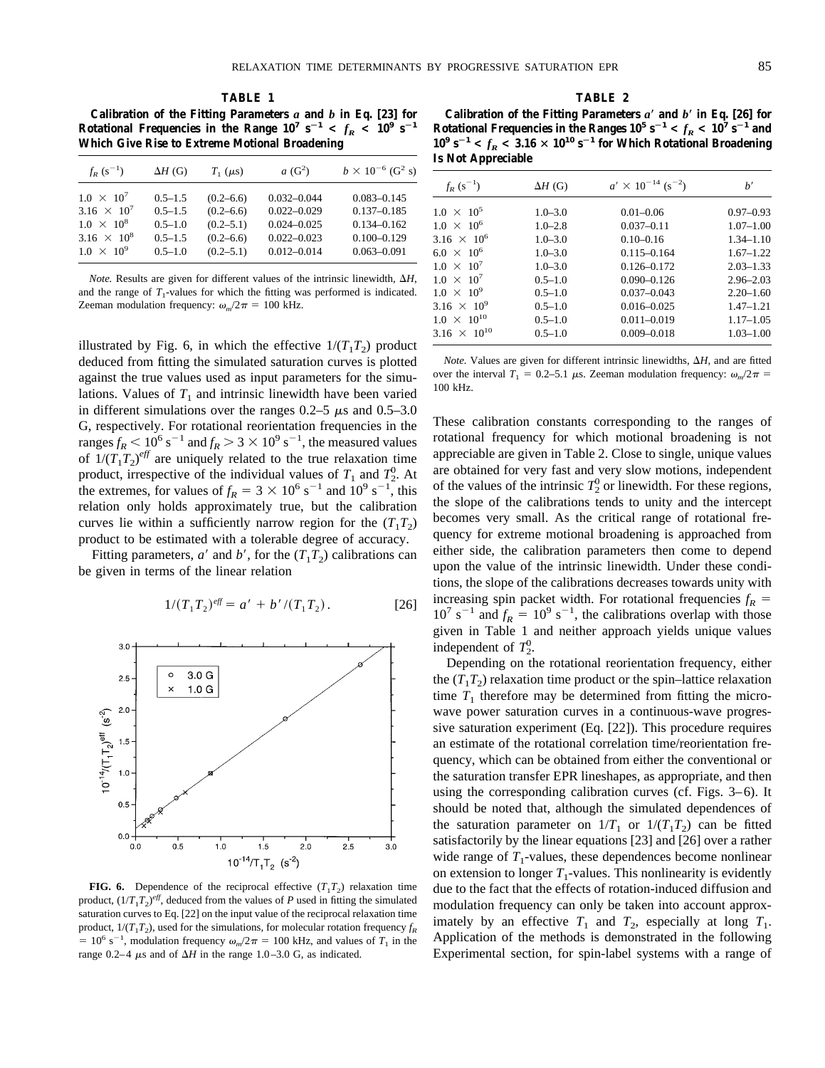**Calibration of the Fitting Parameters** *a* **and** *b* **in Eq. [23] for Rotational Frequencies in the Range**  $10^7$  $s^{-1} < f_R < 10^9$  $s^{-1}$ **Which Give Rise to Extreme Motional Broadening**

| $f_{R}$ (s <sup>-1</sup> )    | $\Delta H$ (G) | $T_1$ ( $\mu$ s) | $a(G^2)$        | $b \times 10^{-6}$ (G <sup>2</sup> s) |
|-------------------------------|----------------|------------------|-----------------|---------------------------------------|
| $1.0 \times 10^{7}$           | $0.5 - 1.5$    | $(0.2 - 6.6)$    | $0.032 - 0.044$ | $0.083 - 0.145$                       |
| 3.16 $\times$ 10 <sup>7</sup> | $0.5 - 1.5$    | $(0.2 - 6.6)$    | $0.022 - 0.029$ | $0.137 - 0.185$                       |
| $1.0 \times 10^8$             | $0.5 - 1.0$    | $(0.2 - 5.1)$    | $0.024 - 0.025$ | $0.134 - 0.162$                       |
| 3.16 $\times$ 10 <sup>8</sup> | $0.5 - 1.5$    | $(0.2 - 6.6)$    | $0.022 - 0.023$ | $0.100 - 0.129$                       |
| $1.0 \times 10^{9}$           | $0.5 - 1.0$    | $(0.2 - 5.1)$    | $0.012 - 0.014$ | $0.063 - 0.091$                       |

*Note.* Results are given for different values of the intrinsic linewidth,  $\Delta H$ , and the range of  $T_1$ -values for which the fitting was performed is indicated. Zeeman modulation frequency:  $\omega_m/2\pi = 100$  kHz.

illustrated by Fig. 6, in which the effective  $1/(T_1T_2)$  product deduced from fitting the simulated saturation curves is plotted against the true values used as input parameters for the simulations. Values of  $T_1$  and intrinsic linewidth have been varied in different simulations over the ranges  $0.2-5 \mu s$  and  $0.5-3.0$ G, respectively. For rotational reorientation frequencies in the ranges  $f_R$  < 10<sup>6</sup> s<sup>-1</sup> and  $f_R$  > 3 × 10<sup>9</sup> s<sup>-1</sup>, the measured values of  $1/(T_1T_2)^{eff}$  are uniquely related to the true relaxation time product, irrespective of the individual values of  $T_1$  and  $T_2^0$ . At the extremes, for values of  $f_R = 3 \times 10^6$  s<sup>-1</sup> and  $10^9$  s<sup>-1</sup>, this relation only holds approximately true, but the calibration curves lie within a sufficiently narrow region for the  $(T_1T_2)$ product to be estimated with a tolerable degree of accuracy.

Fitting parameters,  $a'$  and  $b'$ , for the  $(T_1T_2)$  calibrations can be given in terms of the linear relation

$$
1/(T_1T_2)^{eff} = a' + b'/(T_1T_2).
$$
 [26]



**FIG. 6.** Dependence of the reciprocal effective  $(T_1T_2)$  relaxation time product,  $(1/T_1T_2)^{eff}$ , deduced from the values of *P* used in fitting the simulated saturation curves to Eq. [22] on the input value of the reciprocal relaxation time product,  $1/(T_1T_2)$ , used for the simulations, for molecular rotation frequency  $f_R$  $= 10^6$  s<sup>-1</sup>, modulation frequency  $\omega_m/2\pi = 100$  kHz, and values of  $T_1$  in the range  $0.2-4$   $\mu$ s and of  $\Delta H$  in the range 1.0–3.0 G, as indicated.

## **TABLE 2**

**Calibration of the Fitting Parameters** *a*\* **and** *b*\* **in Eq. [26] for** Rotational Frequencies in the Ranges  $10^5 \text{ s}^{-1} < f_R < 10^7 \text{ s}^{-1}$  and  $10^9$   $s^{-1} < f_R < 3.16 \times 10^{10}$   $s^{-1}$  for Which Rotational Broadening **Is Not Appreciable**

| $f_R(s^{-1})$                  | $\Delta H$ (G) | $a' \times 10^{-14}$ (s <sup>-2</sup> ) | b'            |
|--------------------------------|----------------|-----------------------------------------|---------------|
| $1.0 \times 10^5$              | $1.0 - 3.0$    | $0.01 - 0.06$                           | $0.97 - 0.93$ |
| $1.0 \times 10^6$              | $1.0 - 2.8$    | $0.037 - 0.11$                          | $1.07 - 1.00$ |
| 3.16 $\times$ 10 <sup>6</sup>  | $1.0 - 3.0$    | $0.10 - 0.16$                           | $1.34 - 1.10$ |
| $6.0 \times 10^{6}$            | $1.0 - 3.0$    | $0.115 - 0.164$                         | $1.67 - 1.22$ |
| $1.0 \times 10^{7}$            | $1.0 - 3.0$    | $0.126 - 0.172$                         | $2.03 - 1.33$ |
| $1.0 \times 10^{7}$            | $0.5 - 1.0$    | $0.090 - 0.126$                         | $2.96 - 2.03$ |
| $1.0 \times 10^{9}$            | $0.5 - 1.0$    | $0.037 - 0.043$                         | $2.20 - 1.60$ |
| 3.16 $\times$ 10 <sup>9</sup>  | $0.5 - 1.0$    | $0.016 - 0.025$                         | $1.47 - 1.21$ |
| $1.0 \times 10^{10}$           | $0.5 - 1.0$    | $0.011 - 0.019$                         | $1.17 - 1.05$ |
| 3.16 $\times$ 10 <sup>10</sup> | $0.5 - 1.0$    | $0.009 - 0.018$                         | $1.03 - 1.00$ |
|                                |                |                                         |               |

*Note.* Values are given for different intrinsic linewidths,  $\Delta H$ , and are fitted over the interval  $T_1 = 0.2{\text -}5.1$   $\mu$ s. Zeeman modulation frequency:  $\omega_m/2\pi =$ 100 kHz.

These calibration constants corresponding to the ranges of rotational frequency for which motional broadening is not appreciable are given in Table 2. Close to single, unique values are obtained for very fast and very slow motions, independent of the values of the intrinsic  $T_2^0$  or linewidth. For these regions, the slope of the calibrations tends to unity and the intercept becomes very small. As the critical range of rotational frequency for extreme motional broadening is approached from either side, the calibration parameters then come to depend upon the value of the intrinsic linewidth. Under these conditions, the slope of the calibrations decreases towards unity with increasing spin packet width. For rotational frequencies  $f_R$  =  $10^7$  s<sup>-1</sup> and  $f_R = 10^9$  s<sup>-1</sup>, the calibrations overlap with those given in Table 1 and neither approach yields unique values independent of  $T_2^0$ .

Depending on the rotational reorientation frequency, either the  $(T_1T_2)$  relaxation time product or the spin–lattice relaxation time  $T_1$  therefore may be determined from fitting the microwave power saturation curves in a continuous-wave progressive saturation experiment (Eq. [22]). This procedure requires an estimate of the rotational correlation time/reorientation frequency, which can be obtained from either the conventional or the saturation transfer EPR lineshapes, as appropriate, and then using the corresponding calibration curves (cf. Figs. 3–6). It should be noted that, although the simulated dependences of the saturation parameter on  $1/T_1$  or  $1/(T_1T_2)$  can be fitted satisfactorily by the linear equations [23] and [26] over a rather wide range of  $T_1$ -values, these dependences become nonlinear on extension to longer  $T_1$ -values. This nonlinearity is evidently due to the fact that the effects of rotation-induced diffusion and modulation frequency can only be taken into account approximately by an effective  $T_1$  and  $T_2$ , especially at long  $T_1$ . Application of the methods is demonstrated in the following Experimental section, for spin-label systems with a range of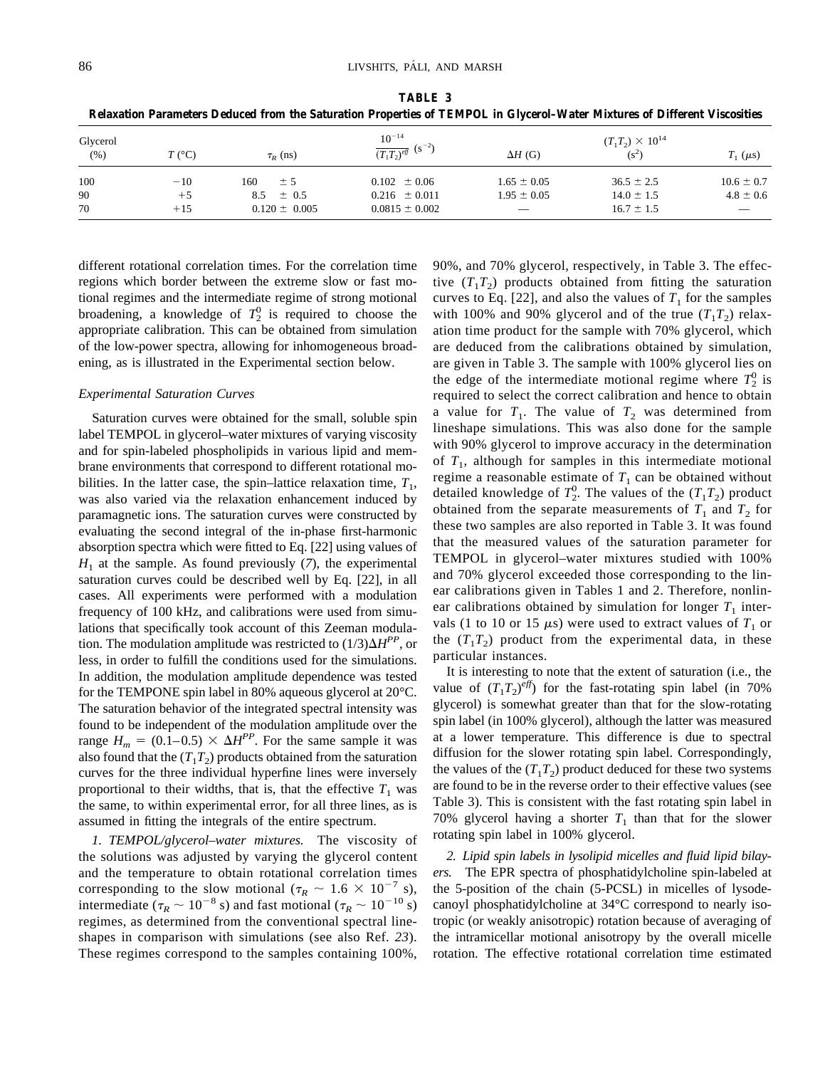| Glycerol<br>(% ) | $T$ (°C) | $\tau_{R}$ (ns)   | $10^{-14}$<br>$\frac{1}{(T_1T_2)^{eff}}$ (s <sup>-2</sup> ) | $\Delta H$ (G)  | $(T_1T_2) \times 10^{14}$<br>$(s^2)$ | $T_1$ ( $\mu$ s) |
|------------------|----------|-------------------|-------------------------------------------------------------|-----------------|--------------------------------------|------------------|
| 100              | $-10$    | ± 5<br>160        | $0.102 \pm 0.06$                                            | $1.65 \pm 0.05$ | $36.5 \pm 2.5$                       | $10.6 \pm 0.7$   |
| 90               | $+5$     | $\pm$ 0.5<br>8.5  | $0.216 \pm 0.011$                                           | $1.95 \pm 0.05$ | $14.0 \pm 1.5$                       | $4.8 \pm 0.6$    |
| 70               | $+15$    | $0.120 \pm 0.005$ | $0.0815 \pm 0.002$                                          |                 | $16.7 \pm 1.5$                       |                  |

**TABLE 3 Relaxation Parameters Deduced from the Saturation Properties of TEMPOL in Glycerol–Water Mixtures of Different Viscosities**

different rotational correlation times. For the correlation time regions which border between the extreme slow or fast motional regimes and the intermediate regime of strong motional broadening, a knowledge of  $T_2^0$  is required to choose the appropriate calibration. This can be obtained from simulation of the low-power spectra, allowing for inhomogeneous broadening, as is illustrated in the Experimental section below.

#### *Experimental Saturation Curves*

Saturation curves were obtained for the small, soluble spin label TEMPOL in glycerol–water mixtures of varying viscosity and for spin-labeled phospholipids in various lipid and membrane environments that correspond to different rotational mobilities. In the latter case, the spin–lattice relaxation time,  $T_1$ , was also varied via the relaxation enhancement induced by paramagnetic ions. The saturation curves were constructed by evaluating the second integral of the in-phase first-harmonic absorption spectra which were fitted to Eq. [22] using values of  $H<sub>1</sub>$  at the sample. As found previously (7), the experimental saturation curves could be described well by Eq. [22], in all cases. All experiments were performed with a modulation frequency of 100 kHz, and calibrations were used from simulations that specifically took account of this Zeeman modulation. The modulation amplitude was restricted to  $(1/3)\Delta H^{PP}$ , or less, in order to fulfill the conditions used for the simulations. In addition, the modulation amplitude dependence was tested for the TEMPONE spin label in 80% aqueous glycerol at 20°C. The saturation behavior of the integrated spectral intensity was found to be independent of the modulation amplitude over the range  $H_m = (0.1-0.5) \times \Delta H^{PP}$ . For the same sample it was also found that the  $(T_1T_2)$  products obtained from the saturation curves for the three individual hyperfine lines were inversely proportional to their widths, that is, that the effective  $T_1$  was the same, to within experimental error, for all three lines, as is assumed in fitting the integrals of the entire spectrum.

*1. TEMPOL/glycerol–water mixtures.* The viscosity of the solutions was adjusted by varying the glycerol content and the temperature to obtain rotational correlation times corresponding to the slow motional ( $\tau_R \sim 1.6 \times 10^{-7}$  s), intermediate ( $\tau_R \sim 10^{-8}$  s) and fast motional ( $\tau_R \sim 10^{-10}$  s) regimes, as determined from the conventional spectral lineshapes in comparison with simulations (see also Ref. *23*). These regimes correspond to the samples containing 100%,

90%, and 70% glycerol, respectively, in Table 3. The effective  $(T_1T_2)$  products obtained from fitting the saturation curves to Eq. [22], and also the values of  $T_1$  for the samples with 100% and 90% glycerol and of the true  $(T_1T_2)$  relaxation time product for the sample with 70% glycerol, which are deduced from the calibrations obtained by simulation, are given in Table 3. The sample with 100% glycerol lies on the edge of the intermediate motional regime where  $T_2^0$  is required to select the correct calibration and hence to obtain a value for  $T_1$ . The value of  $T_2$  was determined from lineshape simulations. This was also done for the sample with 90% glycerol to improve accuracy in the determination of  $T_1$ , although for samples in this intermediate motional regime a reasonable estimate of  $T_1$  can be obtained without detailed knowledge of  $T_2^0$ . The values of the  $(T_1T_2)$  product obtained from the separate measurements of  $T_1$  and  $T_2$  for these two samples are also reported in Table 3. It was found that the measured values of the saturation parameter for TEMPOL in glycerol–water mixtures studied with 100% and 70% glycerol exceeded those corresponding to the linear calibrations given in Tables 1 and 2. Therefore, nonlinear calibrations obtained by simulation for longer  $T_1$  intervals (1 to 10 or 15  $\mu$ s) were used to extract values of  $T_1$  or the  $(T_1T_2)$  product from the experimental data, in these particular instances.

It is interesting to note that the extent of saturation (i.e., the value of  $(T_1T_2)^{\ell f f}$  for the fast-rotating spin label (in 70%) glycerol) is somewhat greater than that for the slow-rotating spin label (in 100% glycerol), although the latter was measured at a lower temperature. This difference is due to spectral diffusion for the slower rotating spin label. Correspondingly, the values of the  $(T_1T_2)$  product deduced for these two systems are found to be in the reverse order to their effective values (see Table 3). This is consistent with the fast rotating spin label in 70% glycerol having a shorter  $T_1$  than that for the slower rotating spin label in 100% glycerol.

*2. Lipid spin labels in lysolipid micelles and fluid lipid bilayers.* The EPR spectra of phosphatidylcholine spin-labeled at the 5-position of the chain (5-PCSL) in micelles of lysodecanoyl phosphatidylcholine at 34°C correspond to nearly isotropic (or weakly anisotropic) rotation because of averaging of the intramicellar motional anisotropy by the overall micelle rotation. The effective rotational correlation time estimated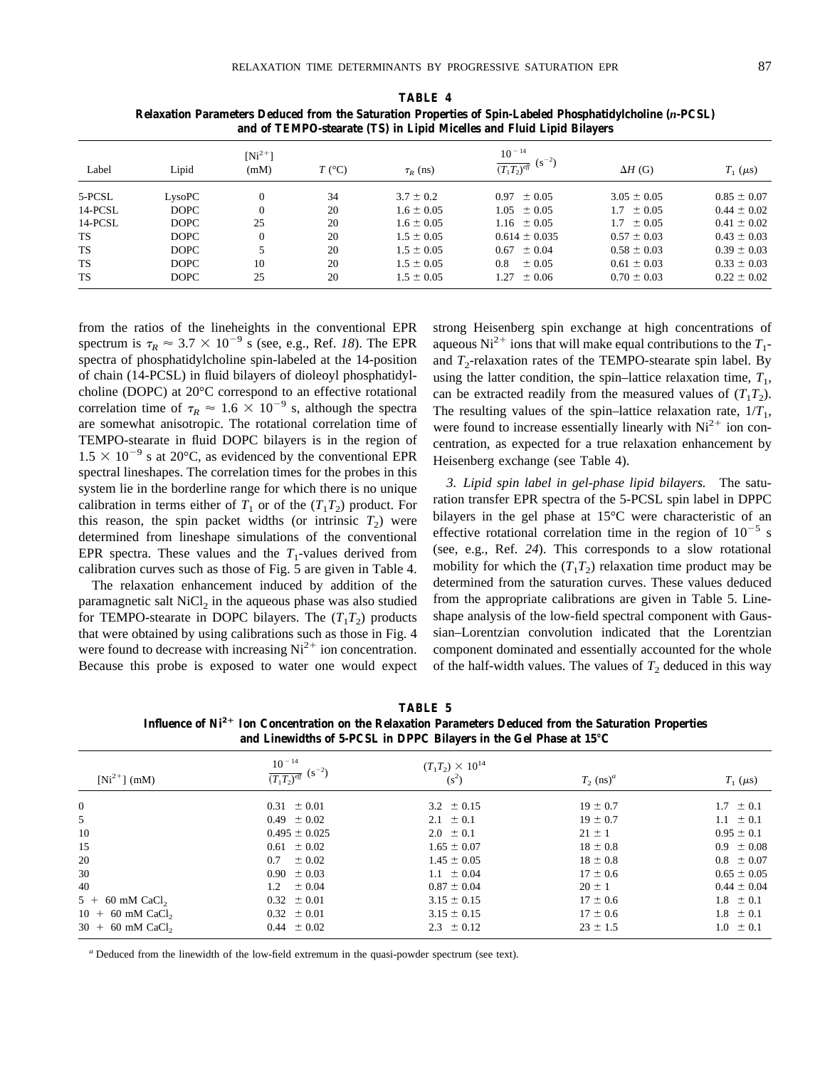**TABLE 4 Relaxation Parameters Deduced from the Saturation Properties of Spin-Labeled Phosphatidylcholine (***n***-PCSL) and of TEMPO-stearate (TS) in Lipid Micelles and Fluid Lipid Bilayers**

| Label     | Lipid       | $[Ni^{2+}]$<br>(mM) | $T$ (°C) | $\tau_R$ (ns)  | $10^{-14}$<br>$(s^{-2})$<br>$\overline{(T_1T_2)^{eff}}$ | $\Delta H$ (G)  | $T_1$ ( $\mu$ s) |
|-----------|-------------|---------------------|----------|----------------|---------------------------------------------------------|-----------------|------------------|
|           |             |                     |          |                |                                                         |                 |                  |
| 5-PCSL    | LysoPC      |                     | 34       | $3.7 \pm 0.2$  | $0.97 \pm 0.05$                                         | $3.05 \pm 0.05$ | $0.85 \pm 0.07$  |
| 14-PCSL   | <b>DOPC</b> | $\Omega$            | 20       | $1.6 \pm 0.05$ | $1.05 \pm 0.05$                                         | $1.7 \pm 0.05$  | $0.44 \pm 0.02$  |
| 14-PCSL   | <b>DOPC</b> | 25                  | 20       | $1.6 \pm 0.05$ | $1.16 \pm 0.05$                                         | $1.7 \pm 0.05$  | $0.41 \pm 0.02$  |
| <b>TS</b> | <b>DOPC</b> |                     | 20       | $1.5 \pm 0.05$ | $0.614 \pm 0.035$                                       | $0.57 \pm 0.03$ | $0.43 \pm 0.03$  |
| <b>TS</b> | <b>DOPC</b> |                     | 20       | $1.5 \pm 0.05$ | $0.67 \pm 0.04$                                         | $0.58 \pm 0.03$ | $0.39 \pm 0.03$  |
| <b>TS</b> | <b>DOPC</b> | 10                  | 20       | $1.5 \pm 0.05$ | 0.8<br>$\pm 0.05$                                       | $0.61 \pm 0.03$ | $0.33 \pm 0.03$  |
| <b>TS</b> | <b>DOPC</b> | 25                  | 20       | $1.5 \pm 0.05$ | $\pm 0.06$<br>1.27                                      | $0.70 \pm 0.03$ | $0.22 \pm 0.02$  |

from the ratios of the lineheights in the conventional EPR spectrum is  $\tau_R \approx 3.7 \times 10^{-9}$  s (see, e.g., Ref. *18*). The EPR spectra of phosphatidylcholine spin-labeled at the 14-position of chain (14-PCSL) in fluid bilayers of dioleoyl phosphatidylcholine (DOPC) at 20°C correspond to an effective rotational correlation time of  $\tau_R \approx 1.6 \times 10^{-9}$  s, although the spectra are somewhat anisotropic. The rotational correlation time of TEMPO-stearate in fluid DOPC bilayers is in the region of  $1.5 \times 10^{-9}$  s at 20°C, as evidenced by the conventional EPR spectral lineshapes. The correlation times for the probes in this system lie in the borderline range for which there is no unique calibration in terms either of  $T_1$  or of the  $(T_1T_2)$  product. For this reason, the spin packet widths (or intrinsic  $T_2$ ) were determined from lineshape simulations of the conventional EPR spectra. These values and the  $T_1$ -values derived from calibration curves such as those of Fig. 5 are given in Table 4.

The relaxation enhancement induced by addition of the paramagnetic salt  $NiCl<sub>2</sub>$  in the aqueous phase was also studied for TEMPO-stearate in DOPC bilayers. The  $(T_1T_2)$  products that were obtained by using calibrations such as those in Fig. 4 were found to decrease with increasing  $Ni<sup>2+</sup>$  ion concentration. Because this probe is exposed to water one would expect strong Heisenberg spin exchange at high concentrations of aqueous Ni<sup>2+</sup> ions that will make equal contributions to the  $T_1$ and  $T_2$ -relaxation rates of the TEMPO-stearate spin label. By using the latter condition, the spin–lattice relaxation time,  $T_1$ , can be extracted readily from the measured values of  $(T_1T_2)$ . The resulting values of the spin–lattice relaxation rate,  $1/T_1$ , were found to increase essentially linearly with  $Ni<sup>2+</sup>$  ion concentration, as expected for a true relaxation enhancement by Heisenberg exchange (see Table 4).

*3. Lipid spin label in gel-phase lipid bilayers.* The saturation transfer EPR spectra of the 5-PCSL spin label in DPPC bilayers in the gel phase at 15°C were characteristic of an effective rotational correlation time in the region of  $10^{-5}$  s (see, e.g., Ref. *24*). This corresponds to a slow rotational mobility for which the  $(T_1T_2)$  relaxation time product may be determined from the saturation curves. These values deduced from the appropriate calibrations are given in Table 5. Lineshape analysis of the low-field spectral component with Gaussian–Lorentzian convolution indicated that the Lorentzian component dominated and essentially accounted for the whole of the half-width values. The values of  $T_2$  deduced in this way

| <b>TABLE 5</b>      |  |  |
|---------------------|--|--|
| Delavation Dovemete |  |  |

**Influence of Ni2**<sup>1</sup> **Ion Concentration on the Relaxation Parameters Deduced from the Saturation Properties and Linewidths of 5-PCSL in DPPC Bilayers in the Gel Phase at 15°C**

|                                | $\frac{10^{-14}}{(T_1T_2)^{eff}}$ (s <sup>-2</sup> ) | $(T_1T_2) \times 10^{14}$ |                         |                  |
|--------------------------------|------------------------------------------------------|---------------------------|-------------------------|------------------|
| $[Ni^{2+}]$ (mM)               |                                                      | $(s^2)$                   | $T_2$ (ns) <sup>a</sup> | $T_1$ ( $\mu$ s) |
| 0                              | $0.31 \pm 0.01$                                      | $3.2 \pm 0.15$            | $19 \pm 0.7$            | $1.7 \pm 0.1$    |
| 5                              | $0.49 \pm 0.02$                                      | $2.1 \pm 0.1$             | $19 \pm 0.7$            | $1.1 \pm 0.1$    |
| 10                             | $0.495 \pm 0.025$                                    | $2.0 \pm 0.1$             | $21 \pm 1$              | $0.95 \pm 0.1$   |
| 15                             | $0.61 \pm 0.02$                                      | $1.65 \pm 0.07$           | $18 \pm 0.8$            | $0.9 \pm 0.08$   |
| 20                             | $0.7 \pm 0.02$                                       | $1.45 \pm 0.05$           | $18 \pm 0.8$            | $0.8 \pm 0.07$   |
| 30                             | $0.90 \pm 0.03$                                      | $1.1 \pm 0.04$            | $17 \pm 0.6$            | $0.65 \pm 0.05$  |
| 40                             | $1.2 \pm 0.04$                                       | $0.87 \pm 0.04$           | $20 \pm 1$              | $0.44 \pm 0.04$  |
| $5 + 60$ mM CaCl <sub>2</sub>  | $0.32 \pm 0.01$                                      | $3.15 \pm 0.15$           | $17 \pm 0.6$            | $1.8 \pm 0.1$    |
| $10 + 60$ mM CaCl <sub>2</sub> | $0.32 \pm 0.01$                                      | $3.15 \pm 0.15$           | $17 \pm 0.6$            | $1.8 \pm 0.1$    |
| $30 + 60$ mM CaCl <sub>2</sub> | $0.44 \pm 0.02$                                      | $2.3 \pm 0.12$            | $23 \pm 1.5$            | $1.0 \pm 0.1$    |

*<sup>a</sup>* Deduced from the linewidth of the low-field extremum in the quasi-powder spectrum (see text).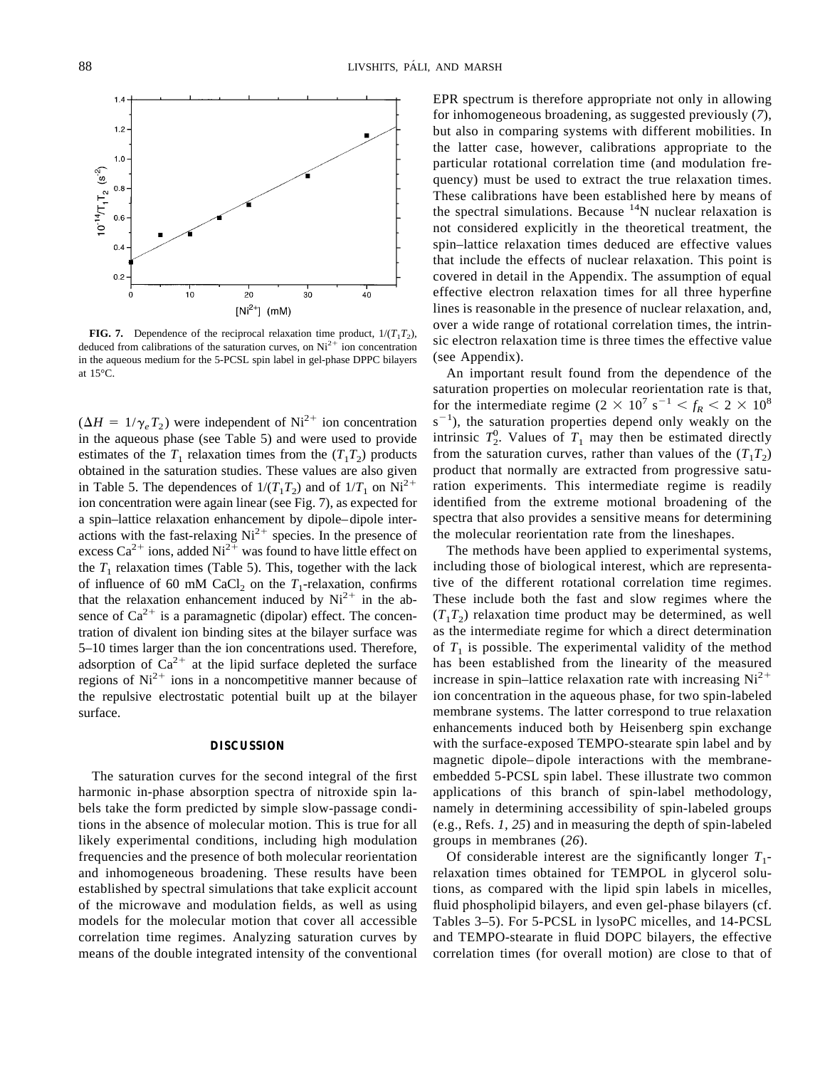

**FIG. 7.** Dependence of the reciprocal relaxation time product,  $1/(T_1T_2)$ , deduced from calibrations of the saturation curves, on  $Ni<sup>2+</sup>$  ion concentration in the aqueous medium for the 5-PCSL spin label in gel-phase DPPC bilayers at 15°C.

 $(\Delta H = 1/\gamma_e T_2)$  were independent of Ni<sup>2+</sup> ion concentration in the aqueous phase (see Table 5) and were used to provide estimates of the  $T_1$  relaxation times from the  $(T_1T_2)$  products obtained in the saturation studies. These values are also given in Table 5. The dependences of  $1/(T_1T_2)$  and of  $1/T_1$  on Ni<sup>2+</sup> ion concentration were again linear (see Fig. 7), as expected for a spin–lattice relaxation enhancement by dipole–dipole interactions with the fast-relaxing  $Ni^{2+}$  species. In the presence of excess  $Ca^{2+}$  ions, added  $Ni^{2+}$  was found to have little effect on the  $T_1$  relaxation times (Table 5). This, together with the lack of influence of 60 mM CaCl<sub>2</sub> on the  $T_1$ -relaxation, confirms that the relaxation enhancement induced by  $Ni^{2+}$  in the absence of  $Ca^{2+}$  is a paramagnetic (dipolar) effect. The concentration of divalent ion binding sites at the bilayer surface was 5–10 times larger than the ion concentrations used. Therefore, adsorption of  $Ca^{2+}$  at the lipid surface depleted the surface regions of  $Ni^{2+}$  ions in a noncompetitive manner because of the repulsive electrostatic potential built up at the bilayer surface.

#### **DISCUSSION**

The saturation curves for the second integral of the first harmonic in-phase absorption spectra of nitroxide spin labels take the form predicted by simple slow-passage conditions in the absence of molecular motion. This is true for all likely experimental conditions, including high modulation frequencies and the presence of both molecular reorientation and inhomogeneous broadening. These results have been established by spectral simulations that take explicit account of the microwave and modulation fields, as well as using models for the molecular motion that cover all accessible correlation time regimes. Analyzing saturation curves by means of the double integrated intensity of the conventional

EPR spectrum is therefore appropriate not only in allowing for inhomogeneous broadening, as suggested previously (*7*), but also in comparing systems with different mobilities. In the latter case, however, calibrations appropriate to the particular rotational correlation time (and modulation frequency) must be used to extract the true relaxation times. These calibrations have been established here by means of the spectral simulations. Because  $14N$  nuclear relaxation is not considered explicitly in the theoretical treatment, the spin–lattice relaxation times deduced are effective values that include the effects of nuclear relaxation. This point is covered in detail in the Appendix. The assumption of equal effective electron relaxation times for all three hyperfine lines is reasonable in the presence of nuclear relaxation, and, over a wide range of rotational correlation times, the intrinsic electron relaxation time is three times the effective value (see Appendix).

An important result found from the dependence of the saturation properties on molecular reorientation rate is that, for the intermediate regime  $(2 \times 10^7 \text{ s}^{-1} < f_R < 2 \times 10^8$  $s^{-1}$ ), the saturation properties depend only weakly on the intrinsic  $T_2^0$ . Values of  $T_1$  may then be estimated directly from the saturation curves, rather than values of the  $(T_1T_2)$ product that normally are extracted from progressive saturation experiments. This intermediate regime is readily identified from the extreme motional broadening of the spectra that also provides a sensitive means for determining the molecular reorientation rate from the lineshapes.

The methods have been applied to experimental systems, including those of biological interest, which are representative of the different rotational correlation time regimes. These include both the fast and slow regimes where the  $(T_1T_2)$  relaxation time product may be determined, as well as the intermediate regime for which a direct determination of  $T_1$  is possible. The experimental validity of the method has been established from the linearity of the measured increase in spin–lattice relaxation rate with increasing  $Ni<sup>2+</sup>$ ion concentration in the aqueous phase, for two spin-labeled membrane systems. The latter correspond to true relaxation enhancements induced both by Heisenberg spin exchange with the surface-exposed TEMPO-stearate spin label and by magnetic dipole–dipole interactions with the membraneembedded 5-PCSL spin label. These illustrate two common applications of this branch of spin-label methodology, namely in determining accessibility of spin-labeled groups (e.g., Refs. *1, 25*) and in measuring the depth of spin-labeled groups in membranes (*26*).

Of considerable interest are the significantly longer  $T_1$ relaxation times obtained for TEMPOL in glycerol solutions, as compared with the lipid spin labels in micelles, fluid phospholipid bilayers, and even gel-phase bilayers (cf. Tables 3–5). For 5-PCSL in lysoPC micelles, and 14-PCSL and TEMPO-stearate in fluid DOPC bilayers, the effective correlation times (for overall motion) are close to that of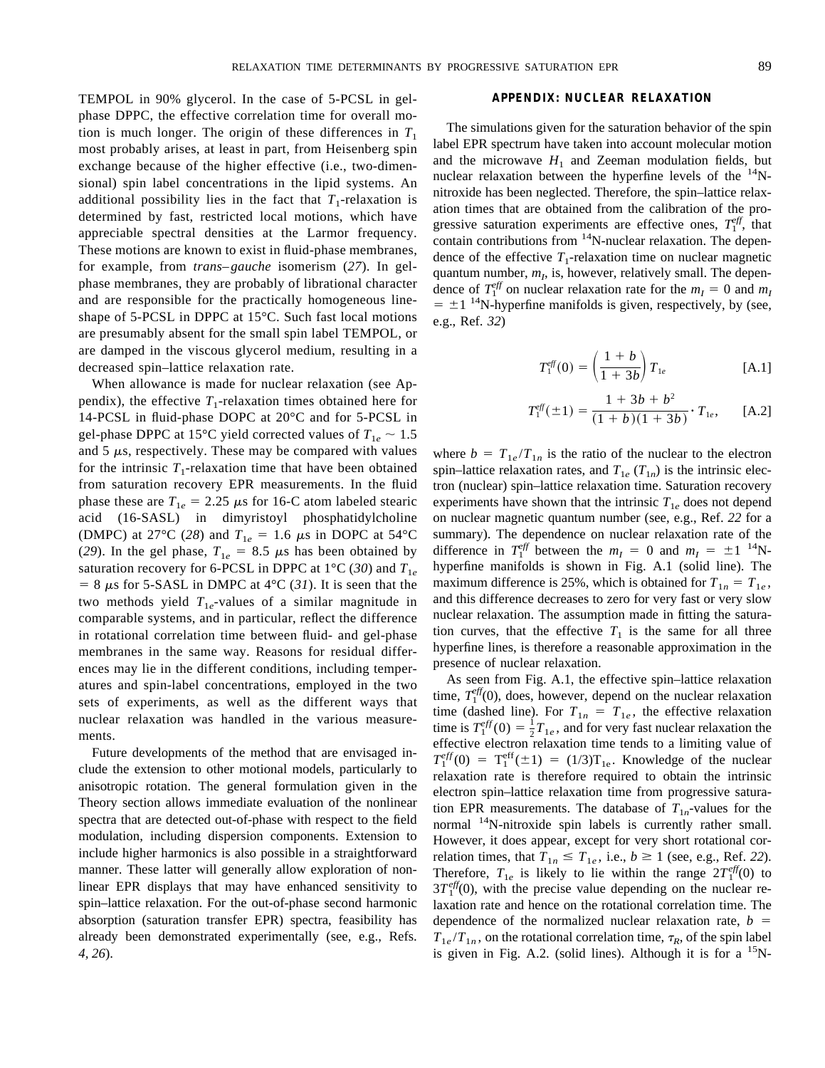TEMPOL in 90% glycerol. In the case of 5-PCSL in gelphase DPPC, the effective correlation time for overall motion is much longer. The origin of these differences in  $T_1$ most probably arises, at least in part, from Heisenberg spin exchange because of the higher effective (i.e., two-dimensional) spin label concentrations in the lipid systems. An additional possibility lies in the fact that  $T_1$ -relaxation is determined by fast, restricted local motions, which have appreciable spectral densities at the Larmor frequency. These motions are known to exist in fluid-phase membranes, for example, from *trans–gauche* isomerism (*27*). In gelphase membranes, they are probably of librational character and are responsible for the practically homogeneous lineshape of 5-PCSL in DPPC at 15°C. Such fast local motions are presumably absent for the small spin label TEMPOL, or are damped in the viscous glycerol medium, resulting in a decreased spin–lattice relaxation rate.

When allowance is made for nuclear relaxation (see Appendix), the effective  $T_1$ -relaxation times obtained here for 14-PCSL in fluid-phase DOPC at 20°C and for 5-PCSL in gel-phase DPPC at 15<sup>o</sup>C yield corrected values of  $T_{1e} \sim 1.5$ and  $5 \mu s$ , respectively. These may be compared with values for the intrinsic  $T_1$ -relaxation time that have been obtained from saturation recovery EPR measurements. In the fluid phase these are  $T_{1e} = 2.25 \mu s$  for 16-C atom labeled stearic acid (16-SASL) in dimyristoyl phosphatidylcholine (DMPC) at 27<sup>o</sup>C (28) and  $T_{1e} = 1.6 \mu s$  in DOPC at 54<sup>o</sup>C (29). In the gel phase,  $T_{1e} = 8.5 \mu s$  has been obtained by saturation recovery for 6-PCSL in DPPC at  $1^{\circ}C$  (30) and  $T_{1e}$  $= 8 \mu s$  for 5-SASL in DMPC at 4°C (31). It is seen that the two methods yield  $T_{1e}$ -values of a similar magnitude in comparable systems, and in particular, reflect the difference in rotational correlation time between fluid- and gel-phase membranes in the same way. Reasons for residual differences may lie in the different conditions, including temperatures and spin-label concentrations, employed in the two sets of experiments, as well as the different ways that nuclear relaxation was handled in the various measurements.

Future developments of the method that are envisaged include the extension to other motional models, particularly to anisotropic rotation. The general formulation given in the Theory section allows immediate evaluation of the nonlinear spectra that are detected out-of-phase with respect to the field modulation, including dispersion components. Extension to include higher harmonics is also possible in a straightforward manner. These latter will generally allow exploration of nonlinear EPR displays that may have enhanced sensitivity to spin–lattice relaxation. For the out-of-phase second harmonic absorption (saturation transfer EPR) spectra, feasibility has already been demonstrated experimentally (see, e.g., Refs. *4, 26*).

## **APPENDIX: NUCLEAR RELAXATION**

The simulations given for the saturation behavior of the spin label EPR spectrum have taken into account molecular motion and the microwave  $H_1$  and Zeeman modulation fields, but nuclear relaxation between the hyperfine levels of the  $^{14}$ Nnitroxide has been neglected. Therefore, the spin–lattice relaxation times that are obtained from the calibration of the progressive saturation experiments are effective ones,  $T_1^{eff}$ , that contain contributions from <sup>14</sup>N-nuclear relaxation. The dependence of the effective  $T_1$ -relaxation time on nuclear magnetic quantum number,  $m<sub>I</sub>$ , is, however, relatively small. The dependence of  $T_1^{\text{eff}}$  on nuclear relaxation rate for the  $m_I = 0$  and  $m_I$  $= \pm 1$  <sup>14</sup>N-hyperfine manifolds is given, respectively, by (see, e.g., Ref. *32*)

$$
T_1^{eff}(0) = \left(\frac{1+b}{1+3b}\right) T_{1e}
$$
 [A.1]

$$
T_1^{\text{eff}}(\pm 1) = \frac{1 + 3b + b^2}{(1 + b)(1 + 3b)} \cdot T_{1e}, \quad \text{[A.2]}
$$

where  $b = T_{1e}/T_{1n}$  is the ratio of the nuclear to the electron spin–lattice relaxation rates, and  $T_{1e}$  ( $T_{1n}$ ) is the intrinsic electron (nuclear) spin–lattice relaxation time. Saturation recovery experiments have shown that the intrinsic  $T_{1e}$  does not depend on nuclear magnetic quantum number (see, e.g., Ref. *22* for a summary). The dependence on nuclear relaxation rate of the difference in  $T_1^{eff}$  between the  $m_I = 0$  and  $m_I = \pm 1^{14}N$ hyperfine manifolds is shown in Fig. A.1 (solid line). The maximum difference is 25%, which is obtained for  $T_{1n} = T_{1e}$ , and this difference decreases to zero for very fast or very slow nuclear relaxation. The assumption made in fitting the saturation curves, that the effective  $T_1$  is the same for all three hyperfine lines, is therefore a reasonable approximation in the presence of nuclear relaxation.

As seen from Fig. A.1, the effective spin–lattice relaxation time,  $T_1^{\text{eff}}(0)$ , does, however, depend on the nuclear relaxation time (dashed line). For  $T_{1n} = T_{1e}$ , the effective relaxation time is  $T_1^{eff}(0) = \frac{1}{2}T_{1e}$ , and for very fast nuclear relaxation the effective electron relaxation time tends to a limiting value of  $T_1^{\text{eff}}(0) = T_1^{\text{eff}}(\pm 1) = (1/3)T_{1e}$ . Knowledge of the nuclear relaxation rate is therefore required to obtain the intrinsic electron spin–lattice relaxation time from progressive saturation EPR measurements. The database of  $T_{1n}$ -values for the normal <sup>14</sup>N-nitroxide spin labels is currently rather small. However, it does appear, except for very short rotational correlation times, that  $T_{1n} \leq T_{1e}$ , i.e.,  $b \geq 1$  (see, e.g., Ref. 22). Therefore,  $T_{1e}$  is likely to lie within the range  $2T_1^{eff}(0)$  to  $3T_1^{eff}(0)$ , with the precise value depending on the nuclear relaxation rate and hence on the rotational correlation time. The dependence of the normalized nuclear relaxation rate,  $b =$  $T_{1e}/T_{1n}$ , on the rotational correlation time,  $\tau_R$ , of the spin label is given in Fig. A.2. (solid lines). Although it is for a  $^{15}N$ -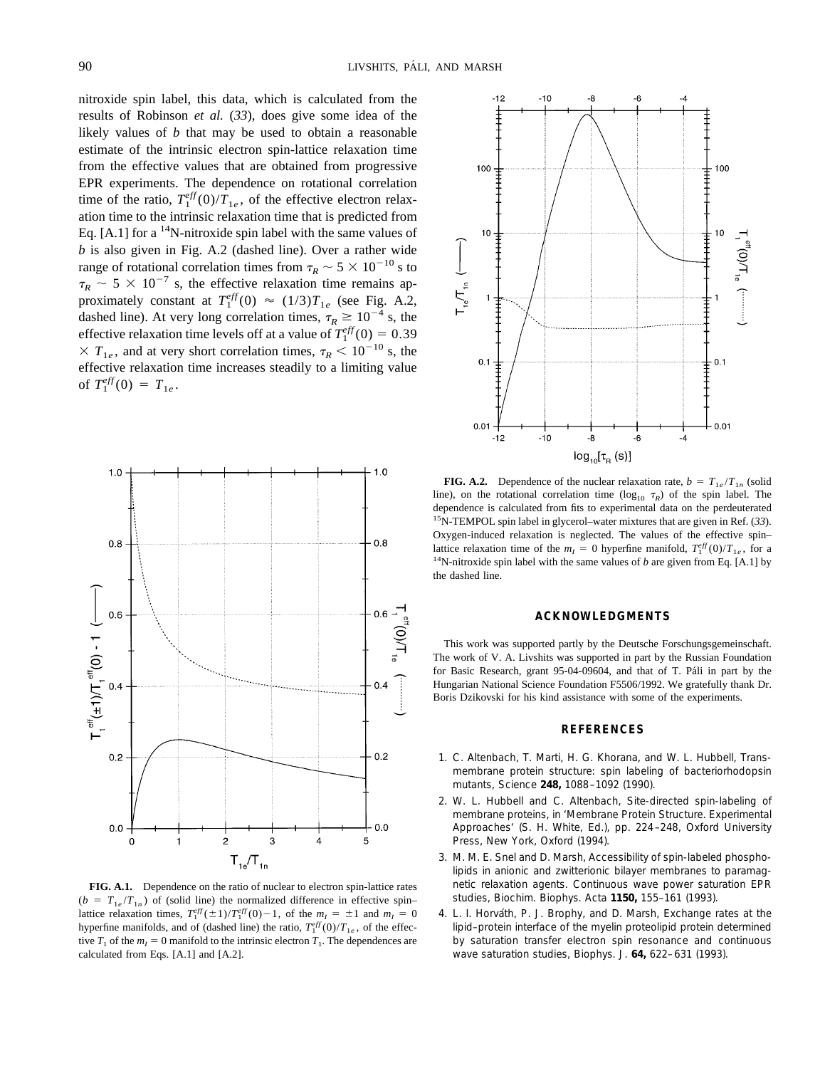nitroxide spin label, this data, which is calculated from the results of Robinson *et al.* (*33*), does give some idea of the likely values of *b* that may be used to obtain a reasonable estimate of the intrinsic electron spin-lattice relaxation time from the effective values that are obtained from progressive EPR experiments. The dependence on rotational correlation time of the ratio,  $T_1^{eff}(0)/T_{1e}$ , of the effective electron relaxation time to the intrinsic relaxation time that is predicted from Eq.  $[A.1]$  for a <sup>14</sup>N-nitroxide spin label with the same values of *b* is also given in Fig. A.2 (dashed line). Over a rather wide range of rotational correlation times from  $\tau_R \sim 5 \times 10^{-10}$  s to  $\tau_R \sim 5 \times 10^{-7}$  s, the effective relaxation time remains approximately constant at  $T_1^{eff}(0) \approx (1/3)T_{1e}$  (see Fig. A.2, dashed line). At very long correlation times,  $\tau_R \ge 10^{-4}$  s, the effective relaxation time levels off at a value of  $T_1^{eff}(0) = 0.39$  $\times T_{1e}$ , and at very short correlation times,  $\tau_R < 10^{-10}$  s, the effective relaxation time increases steadily to a limiting value of  $T_1^{eff}(0) = T_{1e}$ .



**FIG. A.1.** Dependence on the ratio of nuclear to electron spin-lattice rates  $(b = T_{1e}/T_{1n})$  of (solid line) the normalized difference in effective spin– lattice relaxation times,  $T_1^{eff}(\pm 1)/T_1^{eff}(0) - 1$ , of the  $m_I = \pm 1$  and  $m_I = 0$ hyperfine manifolds, and of (dashed line) the ratio,  $T_1^{eff}(0)/T_{1e}$ , of the effective  $T_1$  of the  $m<sub>I</sub> = 0$  manifold to the intrinsic electron  $T_1$ . The dependences are calculated from Eqs. [A.1] and [A.2].



**FIG. A.2.** Dependence of the nuclear relaxation rate,  $b = T_{1e}/T_{1n}$  (solid line), on the rotational correlation time  $(\log_{10} \tau_R)$  of the spin label. The dependence is calculated from fits to experimental data on the perdeuterated 15N-TEMPOL spin label in glycerol–water mixtures that are given in Ref. (*33*). Oxygen-induced relaxation is neglected. The values of the effective spin– lattice relaxation time of the  $m_I = 0$  hyperfine manifold,  $T_1^{eff}(0)/T_{1e}$ , for a 1<sup>4</sup>N-nitroxide spin label with the same values of *b* are given from Eq. [A.1] by the dashed line.

## **ACKNOWLEDGMENTS**

This work was supported partly by the Deutsche Forschungsgemeinschaft. The work of V. A. Livshits was supported in part by the Russian Foundation for Basic Research, grant 95-04-09604, and that of T. Páli in part by the Hungarian National Science Foundation F5506/1992. We gratefully thank Dr. Boris Dzikovski for his kind assistance with some of the experiments.

#### **REFERENCES**

- *1.* C. Altenbach, T. Marti, H. G. Khorana, and W. L. Hubbell, Transmembrane protein structure: spin labeling of bacteriorhodopsin mutants, *Science* **248,** 1088–1092 (1990).
- *2.* W. L. Hubbell and C. Altenbach, Site-directed spin-labeling of membrane proteins, *in* 'Membrane Protein Structure. Experimental Approaches' (S. H. White, Ed.), pp. 224–248, Oxford University Press, New York, Oxford (1994).
- *3.* M. M. E. Snel and D. Marsh, Accessibility of spin-labeled phospholipids in anionic and zwitterionic bilayer membranes to paramagnetic relaxation agents. Continuous wave power saturation EPR studies, *Biochim. Biophys. Acta* **1150,** 155–161 (1993).
- 4. L. I. Horváth, P. J. Brophy, and D. Marsh, Exchange rates at the lipid–protein interface of the myelin proteolipid protein determined by saturation transfer electron spin resonance and continuous wave saturation studies, *Biophys. J.* **64,** 622–631 (1993).